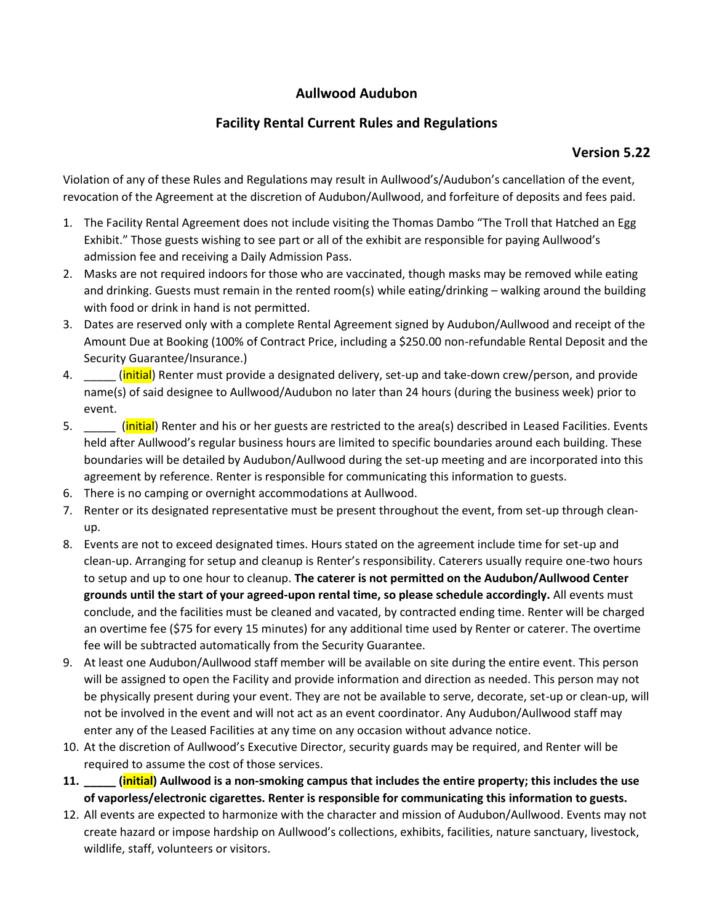## **Aullwood Audubon**

## **Facility Rental Current Rules and Regulations**

## **Version 5.22**

Violation of any of these Rules and Regulations may result in Aullwood's/Audubon's cancellation of the event, revocation of the Agreement at the discretion of Audubon/Aullwood, and forfeiture of deposits and fees paid.

- 1. The Facility Rental Agreement does not include visiting the Thomas Dambo "The Troll that Hatched an Egg Exhibit." Those guests wishing to see part or all of the exhibit are responsible for paying Aullwood's admission fee and receiving a Daily Admission Pass.
- 2. Masks are not required indoors for those who are vaccinated, though masks may be removed while eating and drinking. Guests must remain in the rented room(s) while eating/drinking – walking around the building with food or drink in hand is not permitted.
- 3. Dates are reserved only with a complete Rental Agreement signed by Audubon/Aullwood and receipt of the Amount Due at Booking (100% of Contract Price, including a \$250.00 non-refundable Rental Deposit and the Security Guarantee/Insurance.)
- 4. **Example 2. [initial**) Renter must provide a designated delivery, set-up and take-down crew/person, and provide name(s) of said designee to Aullwood/Audubon no later than 24 hours (during the business week) prior to event.
- 5. **Example 20** (initial) Renter and his or her guests are restricted to the area(s) described in Leased Facilities. Events held after Aullwood's regular business hours are limited to specific boundaries around each building. These boundaries will be detailed by Audubon/Aullwood during the set-up meeting and are incorporated into this agreement by reference. Renter is responsible for communicating this information to guests.
- 6. There is no camping or overnight accommodations at Aullwood.
- 7. Renter or its designated representative must be present throughout the event, from set-up through cleanup.
- 8. Events are not to exceed designated times. Hours stated on the agreement include time for set-up and clean-up. Arranging for setup and cleanup is Renter's responsibility. Caterers usually require one-two hours to setup and up to one hour to cleanup. **The caterer is not permitted on the Audubon/Aullwood Center grounds until the start of your agreed-upon rental time, so please schedule accordingly.** All events must conclude, and the facilities must be cleaned and vacated, by contracted ending time. Renter will be charged an overtime fee (\$75 for every 15 minutes) for any additional time used by Renter or caterer. The overtime fee will be subtracted automatically from the Security Guarantee.
- 9. At least one Audubon/Aullwood staff member will be available on site during the entire event. This person will be assigned to open the Facility and provide information and direction as needed. This person may not be physically present during your event. They are not be available to serve, decorate, set-up or clean-up, will not be involved in the event and will not act as an event coordinator. Any Audubon/Aullwood staff may enter any of the Leased Facilities at any time on any occasion without advance notice.
- 10. At the discretion of Aullwood's Executive Director, security guards may be required, and Renter will be required to assume the cost of those services.
- **11. \_\_\_\_\_ (initial) Aullwood is a non-smoking campus that includes the entire property; this includes the use of vaporless/electronic cigarettes. Renter is responsible for communicating this information to guests.**
- 12. All events are expected to harmonize with the character and mission of Audubon/Aullwood. Events may not create hazard or impose hardship on Aullwood's collections, exhibits, facilities, nature sanctuary, livestock, wildlife, staff, volunteers or visitors.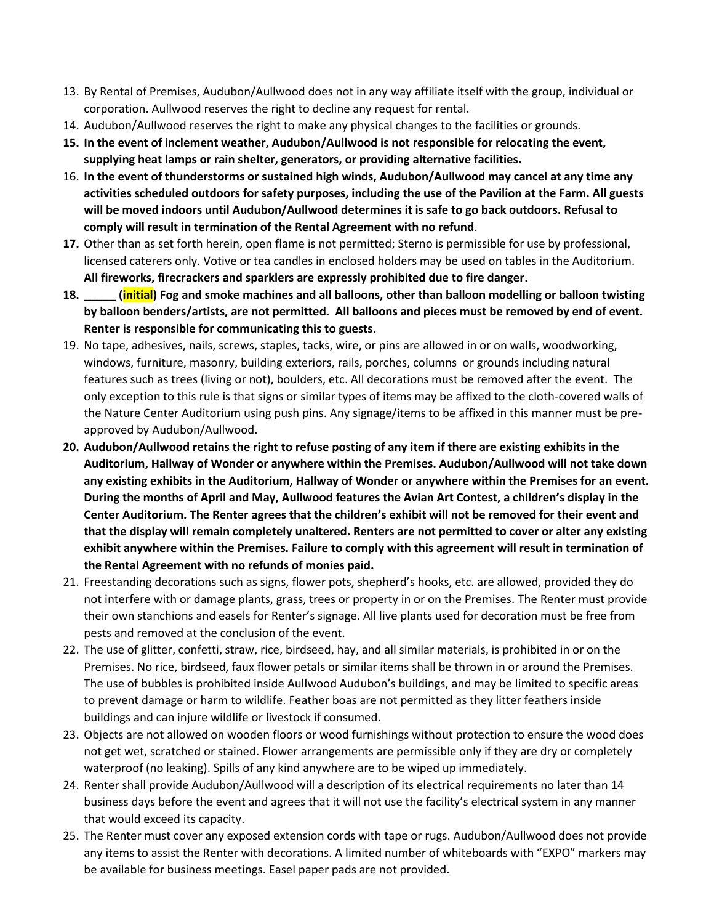- 13. By Rental of Premises, Audubon/Aullwood does not in any way affiliate itself with the group, individual or corporation. Aullwood reserves the right to decline any request for rental.
- 14. Audubon/Aullwood reserves the right to make any physical changes to the facilities or grounds.
- **15. In the event of inclement weather, Audubon/Aullwood is not responsible for relocating the event, supplying heat lamps or rain shelter, generators, or providing alternative facilities.**
- 16. **In the event of thunderstorms or sustained high winds, Audubon/Aullwood may cancel at any time any activities scheduled outdoors for safety purposes, including the use of the Pavilion at the Farm. All guests will be moved indoors until Audubon/Aullwood determines it is safe to go back outdoors. Refusal to comply will result in termination of the Rental Agreement with no refund**.
- **17.** Other than as set forth herein, open flame is not permitted; Sterno is permissible for use by professional, licensed caterers only. Votive or tea candles in enclosed holders may be used on tables in the Auditorium. **All fireworks, firecrackers and sparklers are expressly prohibited due to fire danger.**
- **18. \_\_\_\_\_ (initial) Fog and smoke machines and all balloons, other than balloon modelling or balloon twisting by balloon benders/artists, are not permitted. All balloons and pieces must be removed by end of event. Renter is responsible for communicating this to guests.**
- 19. No tape, adhesives, nails, screws, staples, tacks, wire, or pins are allowed in or on walls, woodworking, windows, furniture, masonry, building exteriors, rails, porches, columns or grounds including natural features such as trees (living or not), boulders, etc. All decorations must be removed after the event. The only exception to this rule is that signs or similar types of items may be affixed to the cloth-covered walls of the Nature Center Auditorium using push pins. Any signage/items to be affixed in this manner must be preapproved by Audubon/Aullwood.
- **20. Audubon/Aullwood retains the right to refuse posting of any item if there are existing exhibits in the Auditorium, Hallway of Wonder or anywhere within the Premises. Audubon/Aullwood will not take down any existing exhibits in the Auditorium, Hallway of Wonder or anywhere within the Premises for an event. During the months of April and May, Aullwood features the Avian Art Contest, a children's display in the Center Auditorium. The Renter agrees that the children's exhibit will not be removed for their event and that the display will remain completely unaltered. Renters are not permitted to cover or alter any existing exhibit anywhere within the Premises. Failure to comply with this agreement will result in termination of the Rental Agreement with no refunds of monies paid.**
- 21. Freestanding decorations such as signs, flower pots, shepherd's hooks, etc. are allowed, provided they do not interfere with or damage plants, grass, trees or property in or on the Premises. The Renter must provide their own stanchions and easels for Renter's signage. All live plants used for decoration must be free from pests and removed at the conclusion of the event.
- 22. The use of glitter, confetti, straw, rice, birdseed, hay, and all similar materials, is prohibited in or on the Premises. No rice, birdseed, faux flower petals or similar items shall be thrown in or around the Premises. The use of bubbles is prohibited inside Aullwood Audubon's buildings, and may be limited to specific areas to prevent damage or harm to wildlife. Feather boas are not permitted as they litter feathers inside buildings and can injure wildlife or livestock if consumed.
- 23. Objects are not allowed on wooden floors or wood furnishings without protection to ensure the wood does not get wet, scratched or stained. Flower arrangements are permissible only if they are dry or completely waterproof (no leaking). Spills of any kind anywhere are to be wiped up immediately.
- 24. Renter shall provide Audubon/Aullwood will a description of its electrical requirements no later than 14 business days before the event and agrees that it will not use the facility's electrical system in any manner that would exceed its capacity.
- 25. The Renter must cover any exposed extension cords with tape or rugs. Audubon/Aullwood does not provide any items to assist the Renter with decorations. A limited number of whiteboards with "EXPO" markers may be available for business meetings. Easel paper pads are not provided.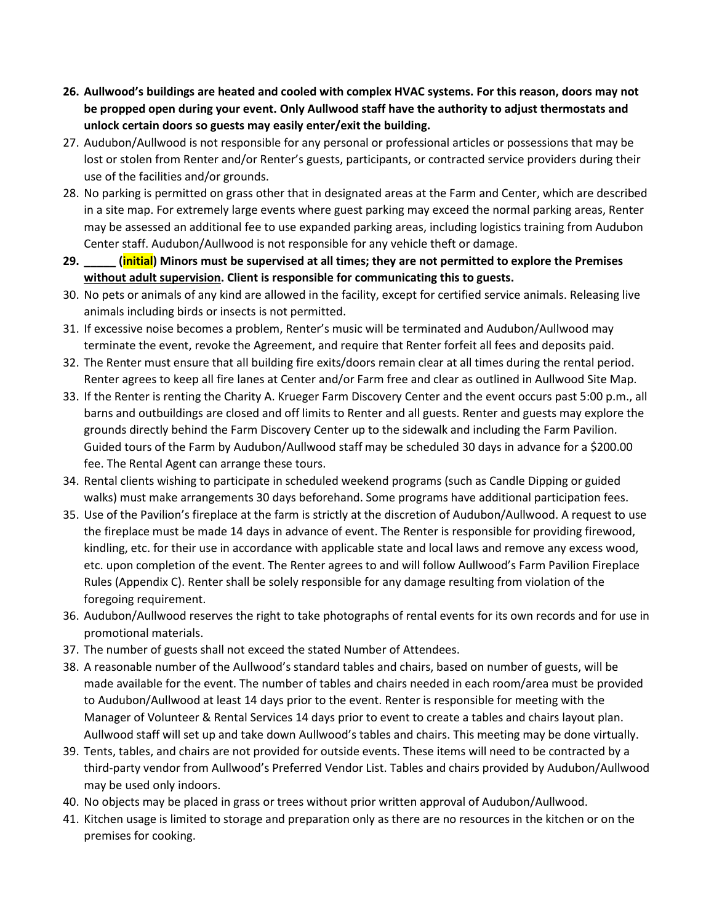- **26. Aullwood's buildings are heated and cooled with complex HVAC systems. For this reason, doors may not be propped open during your event. Only Aullwood staff have the authority to adjust thermostats and unlock certain doors so guests may easily enter/exit the building.**
- 27. Audubon/Aullwood is not responsible for any personal or professional articles or possessions that may be lost or stolen from Renter and/or Renter's guests, participants, or contracted service providers during their use of the facilities and/or grounds.
- 28. No parking is permitted on grass other that in designated areas at the Farm and Center, which are described in a site map. For extremely large events where guest parking may exceed the normal parking areas, Renter may be assessed an additional fee to use expanded parking areas, including logistics training from Audubon Center staff. Audubon/Aullwood is not responsible for any vehicle theft or damage.
- **29. \_\_\_\_\_ (initial) Minors must be supervised at all times; they are not permitted to explore the Premises without adult supervision. Client is responsible for communicating this to guests.**
- 30. No pets or animals of any kind are allowed in the facility, except for certified service animals. Releasing live animals including birds or insects is not permitted.
- 31. If excessive noise becomes a problem, Renter's music will be terminated and Audubon/Aullwood may terminate the event, revoke the Agreement, and require that Renter forfeit all fees and deposits paid.
- 32. The Renter must ensure that all building fire exits/doors remain clear at all times during the rental period. Renter agrees to keep all fire lanes at Center and/or Farm free and clear as outlined in Aullwood Site Map.
- 33. If the Renter is renting the Charity A. Krueger Farm Discovery Center and the event occurs past 5:00 p.m., all barns and outbuildings are closed and off limits to Renter and all guests. Renter and guests may explore the grounds directly behind the Farm Discovery Center up to the sidewalk and including the Farm Pavilion. Guided tours of the Farm by Audubon/Aullwood staff may be scheduled 30 days in advance for a \$200.00 fee. The Rental Agent can arrange these tours.
- 34. Rental clients wishing to participate in scheduled weekend programs (such as Candle Dipping or guided walks) must make arrangements 30 days beforehand. Some programs have additional participation fees.
- 35. Use of the Pavilion's fireplace at the farm is strictly at the discretion of Audubon/Aullwood. A request to use the fireplace must be made 14 days in advance of event. The Renter is responsible for providing firewood, kindling, etc. for their use in accordance with applicable state and local laws and remove any excess wood, etc. upon completion of the event. The Renter agrees to and will follow Aullwood's Farm Pavilion Fireplace Rules (Appendix C). Renter shall be solely responsible for any damage resulting from violation of the foregoing requirement.
- 36. Audubon/Aullwood reserves the right to take photographs of rental events for its own records and for use in promotional materials.
- 37. The number of guests shall not exceed the stated Number of Attendees.
- 38. A reasonable number of the Aullwood's standard tables and chairs, based on number of guests, will be made available for the event. The number of tables and chairs needed in each room/area must be provided to Audubon/Aullwood at least 14 days prior to the event. Renter is responsible for meeting with the Manager of Volunteer & Rental Services 14 days prior to event to create a tables and chairs layout plan. Aullwood staff will set up and take down Aullwood's tables and chairs. This meeting may be done virtually.
- 39. Tents, tables, and chairs are not provided for outside events. These items will need to be contracted by a third-party vendor from Aullwood's Preferred Vendor List. Tables and chairs provided by Audubon/Aullwood may be used only indoors.
- 40. No objects may be placed in grass or trees without prior written approval of Audubon/Aullwood.
- 41. Kitchen usage is limited to storage and preparation only as there are no resources in the kitchen or on the premises for cooking.